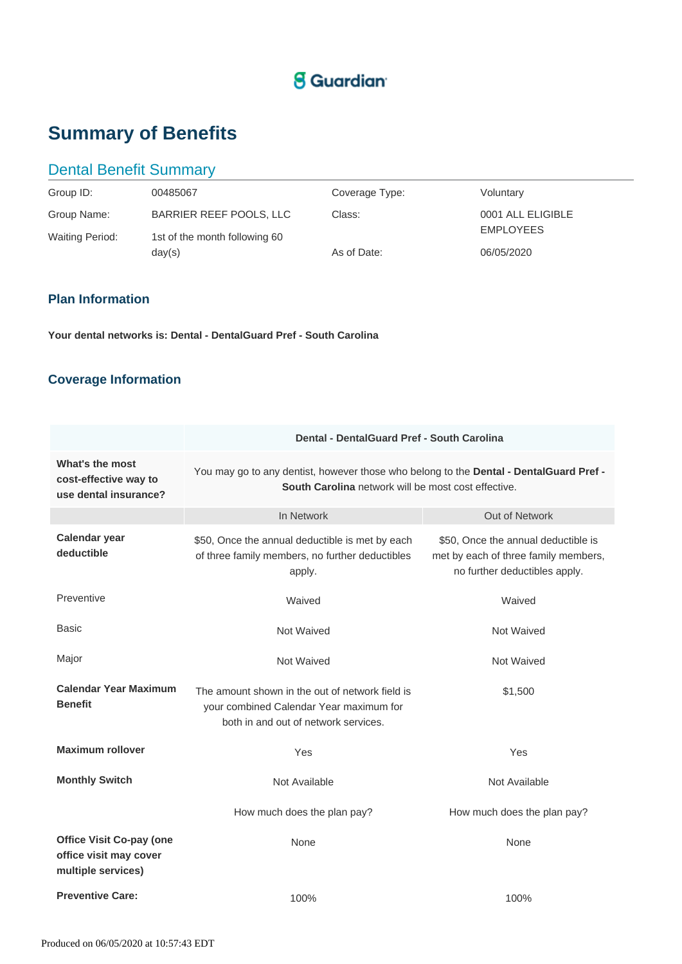# **g** Guardian<sup>®</sup>

# **Summary of Benefits**

## Dental Benefit Summary

| Group ID:                             | 00485067                                                 | Coverage Type: | Voluntary                             |
|---------------------------------------|----------------------------------------------------------|----------------|---------------------------------------|
| Group Name:<br><b>Waiting Period:</b> | BARRIER REEF POOLS, LLC<br>1st of the month following 60 | Class:         | 0001 ALL ELIGIBLE<br><b>EMPLOYEES</b> |
|                                       | day(s)                                                   | As of Date:    | 06/05/2020                            |

### **Plan Information**

**Your dental networks is: Dental - DentalGuard Pref - South Carolina**

## **Coverage Information**

|                                                                                 | Dental - DentalGuard Pref - South Carolina                                                                                                    |                                                                                                              |  |
|---------------------------------------------------------------------------------|-----------------------------------------------------------------------------------------------------------------------------------------------|--------------------------------------------------------------------------------------------------------------|--|
| What's the most<br>cost-effective way to<br>use dental insurance?               | You may go to any dentist, however those who belong to the Dental - DentalGuard Pref -<br>South Carolina network will be most cost effective. |                                                                                                              |  |
|                                                                                 | In Network                                                                                                                                    | Out of Network                                                                                               |  |
| <b>Calendar year</b><br>deductible                                              | \$50, Once the annual deductible is met by each<br>of three family members, no further deductibles<br>apply.                                  | \$50, Once the annual deductible is<br>met by each of three family members,<br>no further deductibles apply. |  |
| Preventive                                                                      | Waived                                                                                                                                        | Waived                                                                                                       |  |
| Basic                                                                           | Not Waived                                                                                                                                    | <b>Not Waived</b>                                                                                            |  |
| Major                                                                           | Not Waived                                                                                                                                    | <b>Not Waived</b>                                                                                            |  |
| <b>Calendar Year Maximum</b><br><b>Benefit</b>                                  | The amount shown in the out of network field is<br>your combined Calendar Year maximum for<br>both in and out of network services.            | \$1,500                                                                                                      |  |
| <b>Maximum rollover</b>                                                         | Yes                                                                                                                                           | Yes                                                                                                          |  |
| <b>Monthly Switch</b>                                                           | Not Available                                                                                                                                 | Not Available                                                                                                |  |
|                                                                                 | How much does the plan pay?                                                                                                                   | How much does the plan pay?                                                                                  |  |
| <b>Office Visit Co-pay (one</b><br>office visit may cover<br>multiple services) | None                                                                                                                                          | None                                                                                                         |  |
| <b>Preventive Care:</b>                                                         | 100%                                                                                                                                          | 100%                                                                                                         |  |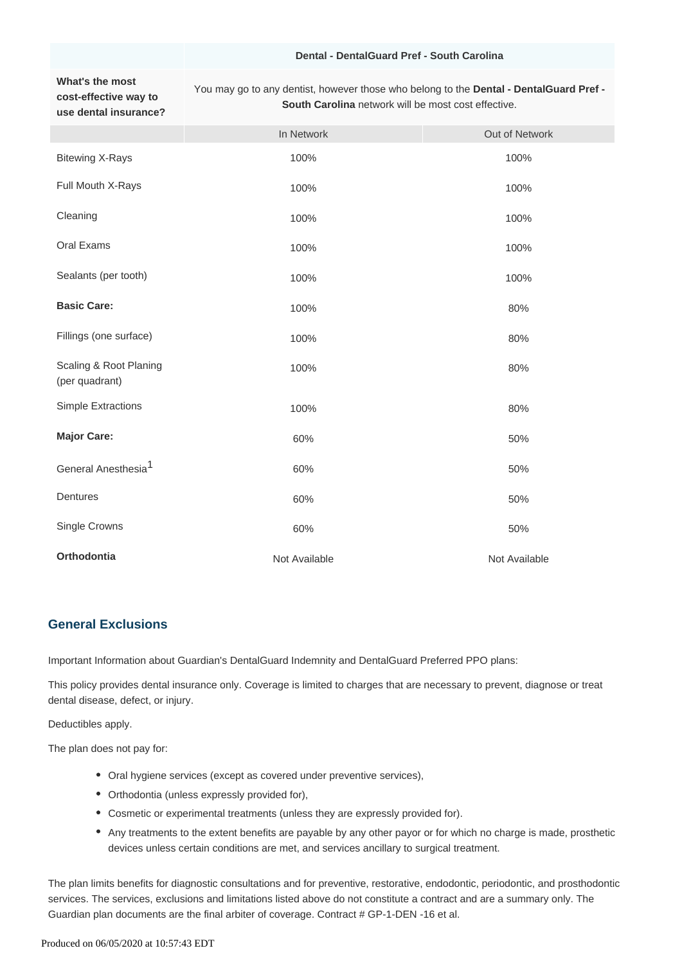#### **Dental - DentalGuard Pref - South Carolina**

#### **What's the most cost-effective way to use dental insurance?**

You may go to any dentist, however those who belong to the **Dental - DentalGuard Pref - South Carolina** network will be most cost effective.

|                                          | In Network    | Out of Network |
|------------------------------------------|---------------|----------------|
| <b>Bitewing X-Rays</b>                   | 100%          | 100%           |
| Full Mouth X-Rays                        | 100%          | 100%           |
| Cleaning                                 | 100%          | 100%           |
| Oral Exams                               | 100%          | 100%           |
| Sealants (per tooth)                     | 100%          | 100%           |
| <b>Basic Care:</b>                       | 100%          | 80%            |
| Fillings (one surface)                   | 100%          | 80%            |
| Scaling & Root Planing<br>(per quadrant) | 100%          | 80%            |
| <b>Simple Extractions</b>                | 100%          | 80%            |
| <b>Major Care:</b>                       | 60%           | 50%            |
| General Anesthesia <sup>1</sup>          | 60%           | 50%            |
| Dentures                                 | 60%           | 50%            |
| Single Crowns                            | 60%           | 50%            |
| Orthodontia                              | Not Available | Not Available  |

### **General Exclusions**

Important Information about Guardian's DentalGuard Indemnity and DentalGuard Preferred PPO plans:

This policy provides dental insurance only. Coverage is limited to charges that are necessary to prevent, diagnose or treat dental disease, defect, or injury.

Deductibles apply.

The plan does not pay for:

- Oral hygiene services (except as covered under preventive services),
- Orthodontia (unless expressly provided for),
- Cosmetic or experimental treatments (unless they are expressly provided for).
- Any treatments to the extent benefits are payable by any other payor or for which no charge is made, prosthetic devices unless certain conditions are met, and services ancillary to surgical treatment.

The plan limits benefits for diagnostic consultations and for preventive, restorative, endodontic, periodontic, and prosthodontic services. The services, exclusions and limitations listed above do not constitute a contract and are a summary only. The Guardian plan documents are the final arbiter of coverage. Contract # GP-1-DEN -16 et al.